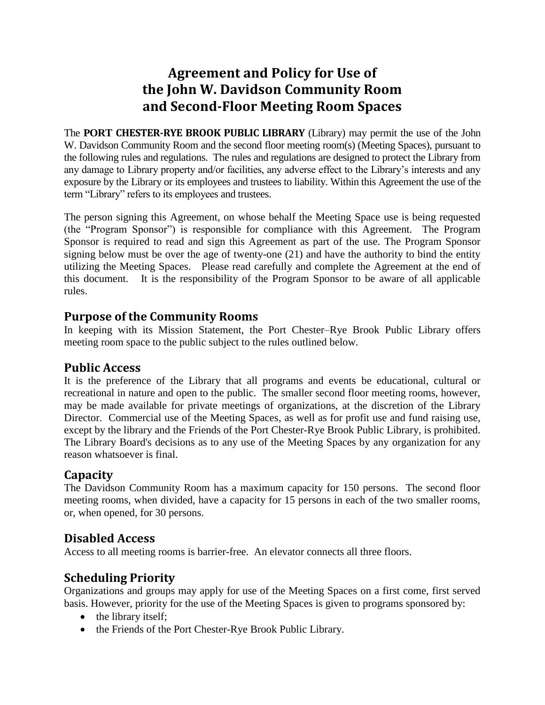# **Agreement and Policy for Use of the John W. Davidson Community Room and Second-Floor Meeting Room Spaces**

The **PORT CHESTER-RYE BROOK PUBLIC LIBRARY** (Library) may permit the use of the John W. Davidson Community Room and the second floor meeting room(s) (Meeting Spaces), pursuant to the following rules and regulations. The rules and regulations are designed to protect the Library from any damage to Library property and/or facilities, any adverse effect to the Library's interests and any exposure by the Library or its employees and trustees to liability. Within this Agreement the use of the term "Library" refers to its employees and trustees.

The person signing this Agreement, on whose behalf the Meeting Space use is being requested (the "Program Sponsor") is responsible for compliance with this Agreement. The Program Sponsor is required to read and sign this Agreement as part of the use. The Program Sponsor signing below must be over the age of twenty-one (21) and have the authority to bind the entity utilizing the Meeting Spaces. Please read carefully and complete the Agreement at the end of this document. It is the responsibility of the Program Sponsor to be aware of all applicable rules.

## **Purpose of the Community Rooms**

In keeping with its Mission Statement, the Port Chester–Rye Brook Public Library offers meeting room space to the public subject to the rules outlined below.

#### **Public Access**

It is the preference of the Library that all programs and events be educational, cultural or recreational in nature and open to the public. The smaller second floor meeting rooms, however, may be made available for private meetings of organizations, at the discretion of the Library Director. Commercial use of the Meeting Spaces, as well as for profit use and fund raising use, except by the library and the Friends of the Port Chester-Rye Brook Public Library, is prohibited. The Library Board's decisions as to any use of the Meeting Spaces by any organization for any reason whatsoever is final.

# **Capacity**

The Davidson Community Room has a maximum capacity for 150 persons. The second floor meeting rooms, when divided, have a capacity for 15 persons in each of the two smaller rooms, or, when opened, for 30 persons.

# **Disabled Access**

Access to all meeting rooms is barrier-free. An elevator connects all three floors.

# **Scheduling Priority**

Organizations and groups may apply for use of the Meeting Spaces on a first come, first served basis. However, priority for the use of the Meeting Spaces is given to programs sponsored by:

- the library itself;
- the Friends of the Port Chester-Rye Brook Public Library.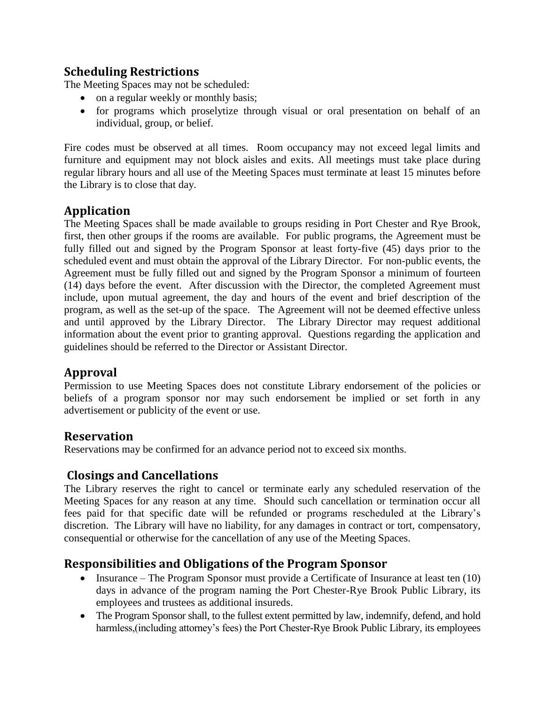# **Scheduling Restrictions**

The Meeting Spaces may not be scheduled:

- on a regular weekly or monthly basis;
- for programs which proselytize through visual or oral presentation on behalf of an individual, group, or belief.

Fire codes must be observed at all times. Room occupancy may not exceed legal limits and furniture and equipment may not block aisles and exits. All meetings must take place during regular library hours and all use of the Meeting Spaces must terminate at least 15 minutes before the Library is to close that day.

## **Application**

The Meeting Spaces shall be made available to groups residing in Port Chester and Rye Brook, first, then other groups if the rooms are available. For public programs, the Agreement must be fully filled out and signed by the Program Sponsor at least forty-five (45) days prior to the scheduled event and must obtain the approval of the Library Director. For non-public events, the Agreement must be fully filled out and signed by the Program Sponsor a minimum of fourteen (14) days before the event. After discussion with the Director, the completed Agreement must include, upon mutual agreement, the day and hours of the event and brief description of the program, as well as the set-up of the space. The Agreement will not be deemed effective unless and until approved by the Library Director. The Library Director may request additional information about the event prior to granting approval. Questions regarding the application and guidelines should be referred to the Director or Assistant Director.

## **Approval**

Permission to use Meeting Spaces does not constitute Library endorsement of the policies or beliefs of a program sponsor nor may such endorsement be implied or set forth in any advertisement or publicity of the event or use.

#### **Reservation**

Reservations may be confirmed for an advance period not to exceed six months.

#### **Closings and Cancellations**

The Library reserves the right to cancel or terminate early any scheduled reservation of the Meeting Spaces for any reason at any time. Should such cancellation or termination occur all fees paid for that specific date will be refunded or programs rescheduled at the Library's discretion. The Library will have no liability, for any damages in contract or tort, compensatory, consequential or otherwise for the cancellation of any use of the Meeting Spaces.

## **Responsibilities and Obligations of the Program Sponsor**

- Insurance The Program Sponsor must provide a Certificate of Insurance at least ten  $(10)$ days in advance of the program naming the Port Chester-Rye Brook Public Library, its employees and trustees as additional insureds.
- The Program Sponsor shall, to the fullest extent permitted by law, indemnify, defend, and hold harmless,(including attorney's fees) the Port Chester-Rye Brook Public Library, its employees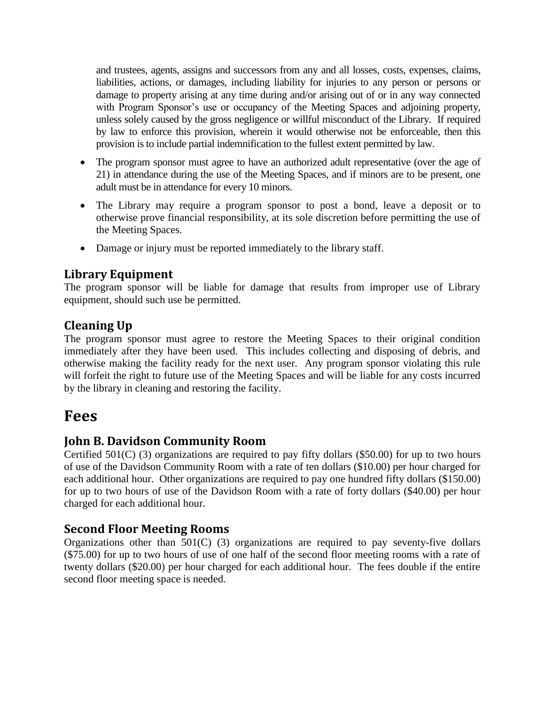and trustees, agents, assigns and successors from any and all losses, costs, expenses, claims, liabilities, actions, or damages, including liability for injuries to any person or persons or damage to property arising at any time during and/or arising out of or in any way connected with Program Sponsor's use or occupancy of the Meeting Spaces and adjoining property, unless solely caused by the gross negligence or willful misconduct of the Library. If required by law to enforce this provision, wherein it would otherwise not be enforceable, then this provision is to include partial indemnification to the fullest extent permitted by law.

- The program sponsor must agree to have an authorized adult representative (over the age of 21) in attendance during the use of the Meeting Spaces, and if minors are to be present, one adult must be in attendance for every 10 minors.
- The Library may require a program sponsor to post a bond, leave a deposit or to otherwise prove financial responsibility, at its sole discretion before permitting the use of the Meeting Spaces.
- Damage or injury must be reported immediately to the library staff.

# **Library Equipment**

The program sponsor will be liable for damage that results from improper use of Library equipment, should such use be permitted.

# **Cleaning Up**

The program sponsor must agree to restore the Meeting Spaces to their original condition immediately after they have been used. This includes collecting and disposing of debris, and otherwise making the facility ready for the next user. Any program sponsor violating this rule will forfeit the right to future use of the Meeting Spaces and will be liable for any costs incurred by the library in cleaning and restoring the facility.

# **Fees**

## **John B. Davidson Community Room**

Certified 501(C) (3) organizations are required to pay fifty dollars (\$50.00) for up to two hours of use of the Davidson Community Room with a rate of ten dollars (\$10.00) per hour charged for each additional hour. Other organizations are required to pay one hundred fifty dollars (\$150.00) for up to two hours of use of the Davidson Room with a rate of forty dollars (\$40.00) per hour charged for each additional hour.

## **Second Floor Meeting Rooms**

Organizations other than 501(C) (3) organizations are required to pay seventy-five dollars (\$75.00) for up to two hours of use of one half of the second floor meeting rooms with a rate of twenty dollars (\$20.00) per hour charged for each additional hour. The fees double if the entire second floor meeting space is needed.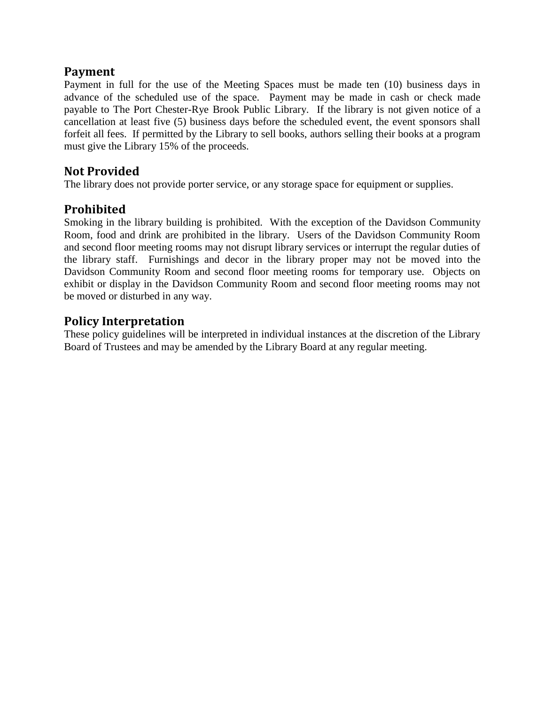## **Payment**

Payment in full for the use of the Meeting Spaces must be made ten (10) business days in advance of the scheduled use of the space. Payment may be made in cash or check made payable to The Port Chester-Rye Brook Public Library. If the library is not given notice of a cancellation at least five (5) business days before the scheduled event, the event sponsors shall forfeit all fees. If permitted by the Library to sell books, authors selling their books at a program must give the Library 15% of the proceeds.

#### **Not Provided**

The library does not provide porter service, or any storage space for equipment or supplies.

# **Prohibited**

Smoking in the library building is prohibited. With the exception of the Davidson Community Room, food and drink are prohibited in the library. Users of the Davidson Community Room and second floor meeting rooms may not disrupt library services or interrupt the regular duties of the library staff. Furnishings and decor in the library proper may not be moved into the Davidson Community Room and second floor meeting rooms for temporary use. Objects on exhibit or display in the Davidson Community Room and second floor meeting rooms may not be moved or disturbed in any way.

## **Policy Interpretation**

These policy guidelines will be interpreted in individual instances at the discretion of the Library Board of Trustees and may be amended by the Library Board at any regular meeting.